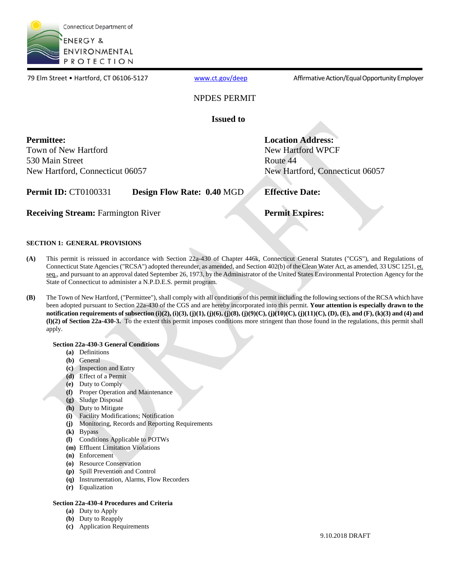

79 Elm Street • Hartford, CT 06106-5127 [www.ct.gov/deep](http://www.ct.gov/deep) Affirmative Action/Equal Opportunity Employer

### NPDES PERMIT

**Issued to** 

**Permittee:**  Town of New Hartford 530 Main Street New Hartford, Connecticut 06057

New Hartford WPCF Route 44 New Hartford, Connecticut 06057

**Permit ID:** CT0100331 **Design Flow Rate: 0.40 MGD <b>Effective Date:** 

**Receiving Stream:** Farmington River **Permit Expires:** 

**Location Address:** 

### **SECTION 1: GENERAL PROVISIONS**

- **(A)** This permit is reissued in accordance with Section 22a-430 of Chapter 446k, Connecticut General Statutes ("CGS"), and Regulations of Connecticut State Agencies ("RCSA") adopted thereunder, as amended, and Section 402(b) of the Clean Water Act, as amended, 33 USC 1251, et. seq., and pursuant to an approval dated September 26, 1973, by the Administrator of the United States Environmental Protection Agency for the State of Connecticut to administer a N.P.D.E.S. permit program.
- **(B)** The Town of New Hartford, ("Permittee"), shall comply with all conditions of this permit including the following sections of the RCSA which have been adopted pursuant to Section 22a-430 of the CGS and are hereby incorporated into this permit. **Your attention is especially drawn to the notification requirements of subsection (i)(2), (i)(3), (j)(1), (j)(6), (j)(8), (j)(9)(C), (j)(10)(C), (j)(11)(C), (D), (E), and (F), (k)(3) and (4) and (l)(2) of Section 22a-430-3.** To the extent this permit imposes conditions more stringent than those found in the regulations, this permit shall apply.

### **Section 22a-430-3 General Conditions**

- **(a)** Definitions
- **(b)** General
- **(c)** Inspection and Entry
- **(d)** Effect of a Permit
- **(e)** Duty to Comply
- **(f)** Proper Operation and Maintenance
- **(g)** Sludge Disposal
- **(h)** Duty to Mitigate
- **(i)** Facility Modifications; Notification
- **(j)** Monitoring, Records and Reporting Requirements
- **(k)** Bypass
- **(l)** Conditions Applicable to POTWs
- **(m)** Effluent Limitation Violations
- **(n)** Enforcement
- **(o)** Resource Conservation
- **(p)** Spill Prevention and Control
- **(q)** Instrumentation, Alarms, Flow Recorders
- **(r)** Equalization

### **Section 22a-430-4 Procedures and Criteria**

- **(a)** Duty to Apply
- **(b)** Duty to Reapply
- **(c)** Application Requirements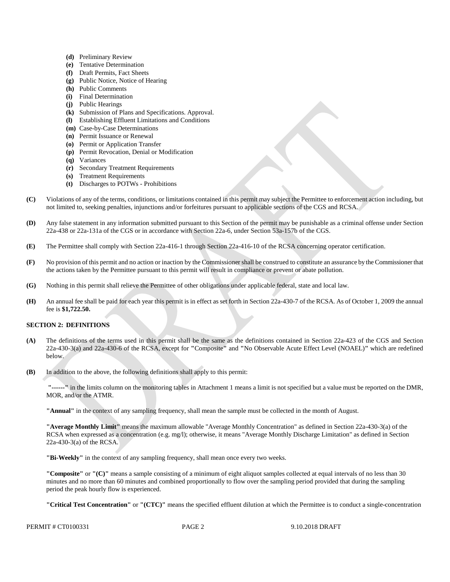- **(d)** Preliminary Review
- **(e)** Tentative Determination
- **(f)** Draft Permits, Fact Sheets
- **(g)** Public Notice, Notice of Hearing
- **(h)** Public Comments
- **(i)** Final Determination
- **(j)** Public Hearings
- **(k)** Submission of Plans and Specifications. Approval.
- **(l)** Establishing Effluent Limitations and Conditions
- **(m)** Case-by-Case Determinations
- **(n)** Permit Issuance or Renewal
- **(o)** Permit or Application Transfer
- **(p)** Permit Revocation, Denial or Modification
- **(q)** Variances
- **(r)** Secondary Treatment Requirements
- **(s)** Treatment Requirements
- **(t)** Discharges to POTWs Prohibitions
- **(C)** Violations of any of the terms, conditions, or limitations contained in this permit may subject the Permittee to enforcement action including, but not limited to, seeking penalties, injunctions and/or forfeitures pursuant to applicable sections of the CGS and RCSA.
- **(D)** Any false statement in any information submitted pursuant to this Section of the permit may be punishable as a criminal offense under Section 22a-438 or 22a-131a of the CGS or in accordance with Section 22a-6, under Section 53a-157b of the CGS.
- **(E)** The Permittee shall comply with Section 22a-416-1 through Section 22a-416-10 of the RCSA concerning operator certification.
- **(F)** No provision of this permit and no action or inaction by the Commissioner shall be construed to constitute an assurance by the Commissioner that the actions taken by the Permittee pursuant to this permit will result in compliance or prevent or abate pollution.
- **(G)** Nothing in this permit shall relieve the Permittee of other obligations under applicable federal, state and local law.
- **(H)** An annual fee shall be paid for each year this permit is in effect as set forth in Section 22a-430-7 of the RCSA. As of October 1, 2009 the annual fee is **\$1,722.50.**

### **SECTION 2: DEFINITIONS**

- **(A)** The definitions of the terms used in this permit shall be the same as the definitions contained in Section 22a-423 of the CGS and Section 22a-430-3(a) and 22a-430-6 of the RCSA, except for **"**Composite**"** and **"**No Observable Acute Effect Level (NOAEL)**"** which are redefined below.
- **(B)** In addition to the above, the following definitions shall apply to this permit:

**"------"** in the limits column on the monitoring tables in Attachment 1 means a limit is not specified but a value must be reported on the DMR, MOR, and/or the ATMR.

**"Annual"** in the context of any sampling frequency, shall mean the sample must be collected in the month of August.

**"Average Monthly Limit"** means the maximum allowable "Average Monthly Concentration" as defined in Section 22a-430-3(a) of the RCSA when expressed as a concentration (e.g. mg/l); otherwise, it means "Average Monthly Discharge Limitation" as defined in Section 22a-430-3(a) of the RCSA.

**"Bi-Weekly"** in the context of any sampling frequency, shall mean once every two weeks.

**"Composite"** or **"(C)"** means a sample consisting of a minimum of eight aliquot samples collected at equal intervals of no less than 30 minutes and no more than 60 minutes and combined proportionally to flow over the sampling period provided that during the sampling period the peak hourly flow is experienced.

**"Critical Test Concentration"** or **"(CTC)"** means the specified effluent dilution at which the Permittee is to conduct a single-concentration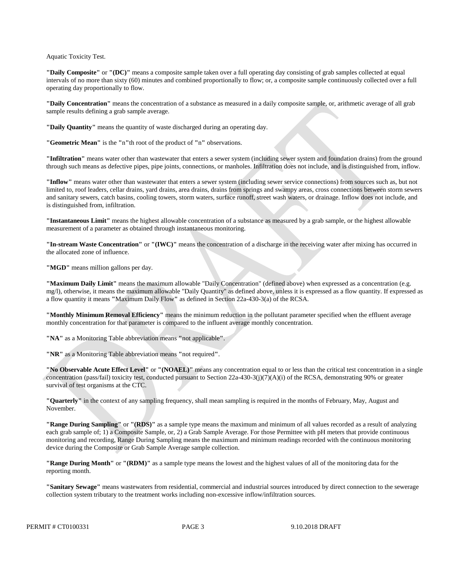Aquatic Toxicity Test.

**"Daily Composite"** or **"(DC)"** means a composite sample taken over a full operating day consisting of grab samples collected at equal intervals of no more than sixty (60) minutes and combined proportionally to flow; or, a composite sample continuously collected over a full operating day proportionally to flow.

**"Daily Concentration"** means the concentration of a substance as measured in a daily composite sample, or, arithmetic average of all grab sample results defining a grab sample average.

**"Daily Quantity"** means the quantity of waste discharged during an operating day.

**"Geometric Mean"** is the **"**n**"**th root of the product of **"**n**"** observations.

**"Infiltration"** means water other than wastewater that enters a sewer system (including sewer system and foundation drains) from the ground through such means as defective pipes, pipe joints, connections, or manholes. Infiltration does not include, and is distinguished from, inflow.

**"Inflow"** means water other than wastewater that enters a sewer system (including sewer service connections) from sources such as, but not limited to, roof leaders, cellar drains, yard drains, area drains, drains from springs and swampy areas, cross connections between storm sewers and sanitary sewers, catch basins, cooling towers, storm waters, surface runoff, street wash waters, or drainage. Inflow does not include, and is distinguished from, infiltration.

**"Instantaneous Limit"** means the highest allowable concentration of a substance as measured by a grab sample, or the highest allowable measurement of a parameter as obtained through instantaneous monitoring.

**"In-stream Waste Concentration"** or **"(IWC)"** means the concentration of a discharge in the receiving water after mixing has occurred in the allocated zone of influence.

"**MGD**" means million gallons per day.

**"Maximum Daily Limit"** means the maximum allowable "Daily Concentration" (defined above) when expressed as a concentration (e.g. mg/l), otherwise, it means the maximum allowable "Daily Quantity" as defined above, unless it is expressed as a flow quantity. If expressed as a flow quantity it means **"**Maximum Daily Flow**"** as defined in Section 22a-430-3(a) of the RCSA.

**"Monthly Minimum Removal Efficiency"** means the minimum reduction in the pollutant parameter specified when the effluent average monthly concentration for that parameter is compared to the influent average monthly concentration.

**"NA"** as a Monitoring Table abbreviation means **"**not applicable**"**.

**"NR"** as a Monitoring Table abbreviation means **"**not required**"**.

**"No Observable Acute Effect Level"** or **"(NOAEL)"** means any concentration equal to or less than the critical test concentration in a single concentration (pass/fail) toxicity test, conducted pursuant to Section 22a-430-3(j)(7)(A)(i) of the RCSA, demonstrating 90% or greater survival of test organisms at the CTC.

**"Quarterly"** in the context of any sampling frequency, shall mean sampling is required in the months of February, May, August and November.

**"Range During Sampling"** or **"(RDS)"** as a sample type means the maximum and minimum of all values recorded as a result of analyzing each grab sample of; 1) a Composite Sample, or, 2) a Grab Sample Average. For those Permittee with pH meters that provide continuous monitoring and recording, Range During Sampling means the maximum and minimum readings recorded with the continuous monitoring device during the Composite or Grab Sample Average sample collection.

**"Range During Month"** or **"(RDM)"** as a sample type means the lowest and the highest values of all of the monitoring data for the reporting month.

**"Sanitary Sewage"** means wastewaters from residential, commercial and industrial sources introduced by direct connection to the sewerage collection system tributary to the treatment works including non-excessive inflow/infiltration sources.

PERMIT # CT0100331 PAGE 3 9.10.2018 DRAFT

PAGE 3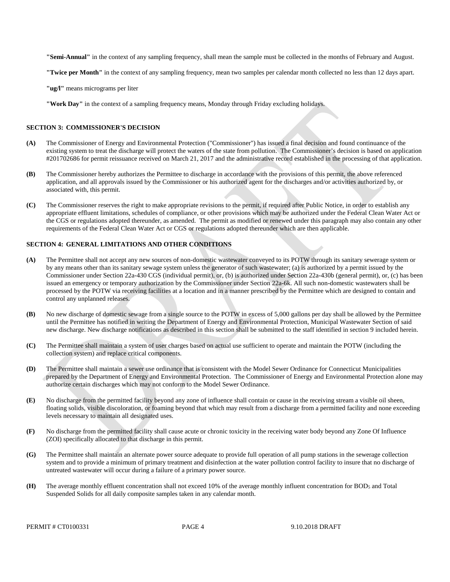**"Semi-Annual"** in the context of any sampling frequency, shall mean the sample must be collected in the months of February and August.

**"Twice per Month"** in the context of any sampling frequency, mean two samples per calendar month collected no less than 12 days apart.

**"ug/l"** means micrograms per liter

**"Work Day"** in the context of a sampling frequency means, Monday through Friday excluding holidays.

### **SECTION 3: COMMISSIONER'S DECISION**

- **(A)** The Commissioner of Energy and Environmental Protection ("Commissioner") has issued a final decision and found continuance of the existing system to treat the discharge will protect the waters of the state from pollution. The Commissioner's decision is based on application #201702686 for permit reissuance received on March 21, 2017 and the administrative record established in the processing of that application.
- **(B)** The Commissioner hereby authorizes the Permittee to discharge in accordance with the provisions of this permit, the above referenced application, and all approvals issued by the Commissioner or his authorized agent for the discharges and/or activities authorized by, or associated with, this permit.
- **(C)** The Commissioner reserves the right to make appropriate revisions to the permit, if required after Public Notice, in order to establish any appropriate effluent limitations, schedules of compliance, or other provisions which may be authorized under the Federal Clean Water Act or the CGS or regulations adopted thereunder, as amended. The permit as modified or renewed under this paragraph may also contain any other requirements of the Federal Clean Water Act or CGS or regulations adopted thereunder which are then applicable.

### **SECTION 4: GENERAL LIMITATIONS AND OTHER CONDITIONS**

- **(A)** The Permittee shall not accept any new sources of non-domestic wastewater conveyed to its POTW through its sanitary sewerage system or by any means other than its sanitary sewage system unless the generator of such wastewater; (a) is authorized by a permit issued by the Commissioner under Section 22a-430 CGS (individual permit), or, (b) is authorized under Section 22a-430b (general permit), or, (c) has been issued an emergency or temporary authorization by the Commissioner under Section 22a-6k. All such non-domestic wastewaters shall be processed by the POTW via receiving facilities at a location and in a manner prescribed by the Permittee which are designed to contain and control any unplanned releases.
- **(B)** No new discharge of domestic sewage from a single source to the POTW in excess of 5,000 gallons per day shall be allowed by the Permittee until the Permittee has notified in writing the Department of Energy and Environmental Protection, Municipal Wastewater Section of said new discharge. New discharge notifications as described in this section shall be submitted to the staff identified in section 9 included herein.
- **(C)** The Permittee shall maintain a system of user charges based on actual use sufficient to operate and maintain the POTW (including the collection system) and replace critical components.
- **(D)** The Permittee shall maintain a sewer use ordinance that is consistent with the Model Sewer Ordinance for Connecticut Municipalities prepared by the Department of Energy and Environmental Protection. The Commissioner of Energy and Environmental Protection alone may authorize certain discharges which may not conform to the Model Sewer Ordinance.
- **(E)** No discharge from the permitted facility beyond any zone of influence shall contain or cause in the receiving stream a visible oil sheen, floating solids, visible discoloration, or foaming beyond that which may result from a discharge from a permitted facility and none exceeding levels necessary to maintain all designated uses.
- **(F)** No discharge from the permitted facility shall cause acute or chronic toxicity in the receiving water body beyond any Zone Of Influence (ZOI) specifically allocated to that discharge in this permit.
- **(G)** The Permittee shall maintain an alternate power source adequate to provide full operation of all pump stations in the sewerage collection system and to provide a minimum of primary treatment and disinfection at the water pollution control facility to insure that no discharge of untreated wastewater will occur during a failure of a primary power source.
- **(H)** The average monthly effluent concentration shall not exceed 10% of the average monthly influent concentration for BOD5 and Total Suspended Solids for all daily composite samples taken in any calendar month.

PERMIT # CT0100331 PAGE 4 9.10.2018 DRAFT

PAGE 4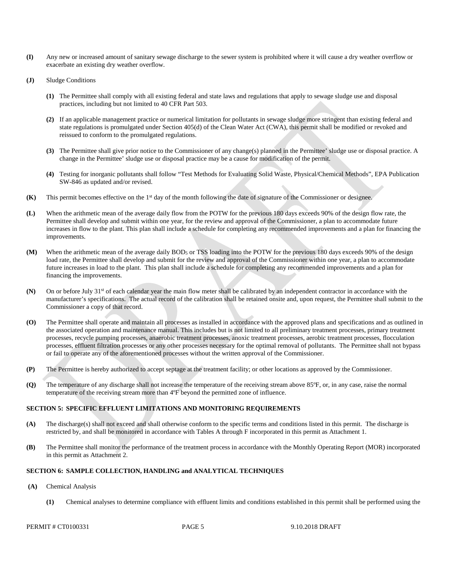- **(I)** Any new or increased amount of sanitary sewage discharge to the sewer system is prohibited where it will cause a dry weather overflow or exacerbate an existing dry weather overflow.
- **(J)** Sludge Conditions
	- **(1)** The Permittee shall comply with all existing federal and state laws and regulations that apply to sewage sludge use and disposal practices, including but not limited to 40 CFR Part 503.
	- **(2)** If an applicable management practice or numerical limitation for pollutants in sewage sludge more stringent than existing federal and state regulations is promulgated under Section 405(d) of the Clean Water Act (CWA), this permit shall be modified or revoked and reissued to conform to the promulgated regulations.
	- **(3)** The Permittee shall give prior notice to the Commissioner of any change(s) planned in the Permittee' sludge use or disposal practice. A change in the Permittee' sludge use or disposal practice may be a cause for modification of the permit.
	- **(4)** Testing for inorganic pollutants shall follow "Test Methods for Evaluating Solid Waste, Physical/Chemical Methods", EPA Publication SW-846 as updated and/or revised.
- **(K)** This permit becomes effective on the 1<sup>st</sup> day of the month following the date of signature of the Commissioner or designee.
- improvements. **(L)** When the arithmetic mean of the average daily flow from the POTW for the previous 180 days exceeds 90% of the design flow rate, the Permittee shall develop and submit within one year, for the review and approval of the Commissioner, a plan to accommodate future increases in flow to the plant. This plan shall include a schedule for completing any recommended improvements and a plan for financing the
- future increases in load to the plant. This plan shall include a schedule for completing any recommended improvements and a plan for **(M)** When the arithmetic mean of the average daily BOD<sub>5</sub> or TSS loading into the POTW for the previous 180 days exceeds 90% of the design load rate, the Permittee shall develop and submit for the review and approval of the Commissioner within one year, a plan to accommodate financing the improvements.
- **(N)** On or before July 31<sup>st</sup> of each calendar year the main flow meter shall be calibrated by an independent contractor in accordance with the manufacturer's specifications. The actual record of the calibration shall be retained onsite and, upon request, the Permittee shall submit to the Commissioner a copy of that record.
- **(O)** The Permittee shall operate and maintain all processes as installed in accordance with the approved plans and specifications and as outlined in the associated operation and maintenance manual. This includes but is not limited to all preliminary treatment processes, primary treatment processes, recycle pumping processes, anaerobic treatment processes, anoxic treatment processes, aerobic treatment processes, flocculation processes, effluent filtration processes or any other processes necessary for the optimal removal of pollutants. The Permittee shall not bypass or fail to operate any of the aforementioned processes without the written approval of the Commissioner.
- **(P)** The Permittee is hereby authorized to accept septage at the treatment facility; or other locations as approved by the Commissioner.
- **(Q)** The temperature of any discharge shall not increase the temperature of the receiving stream above 85°F, or, in any case, raise the normal temperature of the receiving stream more than 4ºF beyond the permitted zone of influence.

### **SECTION 5: SPECIFIC EFFLUENT LIMITATIONS AND MONITORING REQUIREMENTS**

- **(A)** The discharge(s) shall not exceed and shall otherwise conform to the specific terms and conditions listed in this permit. The discharge is restricted by, and shall be monitored in accordance with Tables A through F incorporated in this permit as Attachment 1.
- in this permit as Attachment 2.**(B)** The Permittee shall monitor the performance of the treatment process in accordance with the Monthly Operating Report (MOR) incorporated

### **SECTION 6: SAMPLE COLLECTION, HANDLING and ANALYTICAL TECHNIQUES**

- $(A)$ **(A)** Chemical Analysis
	- **(1)** Chemical analyses to determine compliance with effluent limits and conditions established in this permit shall be performed using the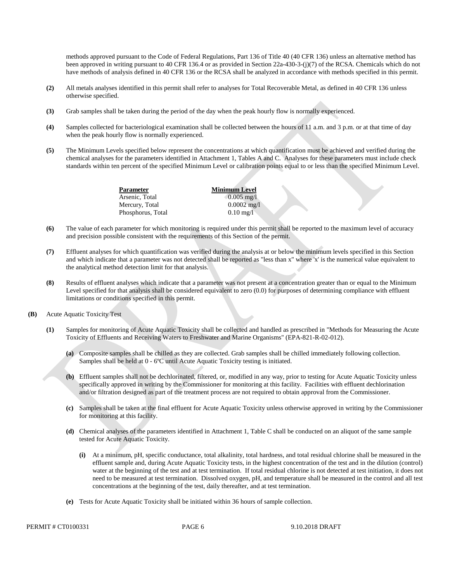methods approved pursuant to the Code of Federal Regulations, Part 136 of Title 40 (40 CFR 136) unless an alternative method has been approved in writing pursuant to 40 CFR 136.4 or as provided in Section 22a-430-3-(j)(7) of the RCSA. Chemicals which do not have methods of analysis defined in 40 CFR 136 or the RCSA shall be analyzed in accordance with methods specified in this permit.

- **(2)** All metals analyses identified in this permit shall refer to analyses for Total Recoverable Metal, as defined in 40 CFR 136 unless otherwise specified.
- **(3)** Grab samples shall be taken during the period of the day when the peak hourly flow is normally experienced.
- **(4)** Samples collected for bacteriological examination shall be collected between the hours of 11 a.m. and 3 p.m. or at that time of day when the peak hourly flow is normally experienced.
- chemical analyses for the parameters identified in Attachment 1, Tables A and C. Analyses for these parameters must include check standards within ten percent of the specified Minimum Level or calibration points equal to or less than the specified Minimum Level. **(5)** The Minimum Levels specified below represent the concentrations at which quantification must be achieved and verified during the

**Parameter Minimum Level** Arsenic, Total 0.005 mg/l Mercury, Total 0.0002 mg/l Phosphorus, Total 0.10 mg/l

- **(6)** The value of each parameter for which monitoring is required under this permit shall be reported to the maximum level of accuracy and precision possible consistent with the requirements of this Section of the permit.
- **(7)** Effluent analyses for which quantification was verified during the analysis at or below the minimum levels specified in this Section and which indicate that a parameter was not detected shall be reported as "less than x" where 'x' is the numerical value equivalent to the analytical method detection limit for that analysis.
- **(8)** Results of effluent analyses which indicate that a parameter was not present at a concentration greater than or equal to the Minimum Level specified for that analysis shall be considered equivalent to zero (0.0) for purposes of determining compliance with effluent limitations or conditions specified in this permit.
- **(B)** Acute Aquatic Toxicity Test
	- **(1)** Samples for monitoring of Acute Aquatic Toxicity shall be collected and handled as prescribed in "Methods for Measuring the Acute Toxicity of Effluents and Receiving Waters to Freshwater and Marine Organisms" (EPA-821-R-02-012).
		- **(a)** Composite samples shall be chilled as they are collected. Grab samples shall be chilled immediately following collection. Samples shall be held at 0 - 6ºC until Acute Aquatic Toxicity testing is initiated.
		- **(b)** Effluent samples shall not be dechlorinated, filtered, or, modified in any way, prior to testing for Acute Aquatic Toxicity unless specifically approved in writing by the Commissioner for monitoring at this facility. Facilities with effluent dechlorination and/or filtration designed as part of the treatment process are not required to obtain approval from the Commissioner.
		- **(c)** Samples shall be taken at the final effluent for Acute Aquatic Toxicity unless otherwise approved in writing by the Commissioner for monitoring at this facility.
		- **(d)** Chemical analyses of the parameters identified in Attachment 1, Table C shall be conducted on an aliquot of the same sample tested for Acute Aquatic Toxicity.
			- **(i)** At a minimum, pH, specific conductance, total alkalinity, total hardness, and total residual chlorine shall be measured in the effluent sample and, during Acute Aquatic Toxicity tests, in the highest concentration of the test and in the dilution (control) water at the beginning of the test and at test termination. If total residual chlorine is not detected at test initiation, it does not need to be measured at test termination. Dissolved oxygen, pH, and temperature shall be measured in the control and all test concentrations at the beginning of the test, daily thereafter, and at test termination.
		- **(e)** Tests for Acute Aquatic Toxicity shall be initiated within 36 hours of sample collection.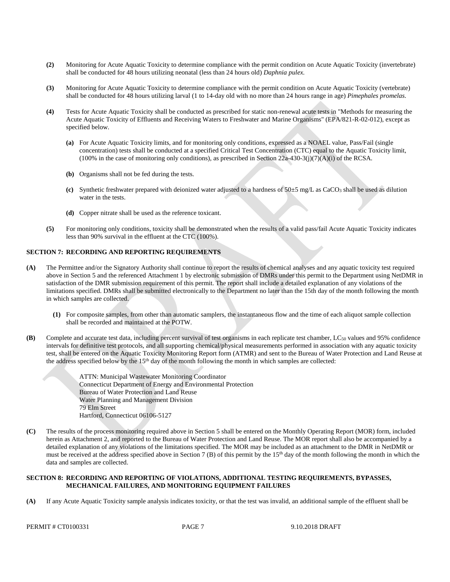- **(2)** Monitoring for Acute Aquatic Toxicity to determine compliance with the permit condition on Acute Aquatic Toxicity (invertebrate) shall be conducted for 48 hours utilizing neonatal (less than 24 hours old) *Daphnia pulex*.
- **(3)** Monitoring for Acute Aquatic Toxicity to determine compliance with the permit condition on Acute Aquatic Toxicity (vertebrate) shall be conducted for 48 hours utilizing larval (1 to 14-day old with no more than 24 hours range in age) *Pimephales promelas*.
- **(4)** Tests for Acute Aquatic Toxicity shall be conducted as prescribed for static non-renewal acute tests in "Methods for measuring the Acute Aquatic Toxicity of Effluents and Receiving Waters to Freshwater and Marine Organisms" (EPA/821-R-02-012), except as specified below.
	- **(a)** For Acute Aquatic Toxicity limits, and for monitoring only conditions, expressed as a NOAEL value, Pass/Fail (single concentration) tests shall be conducted at a specified Critical Test Concentration (CTC) equal to the Aquatic Toxicity limit,  $(100\%$  in the case of monitoring only conditions), as prescribed in Section 22a-430-3(j)(7)(A)(i) of the RCSA.
	- **(b)** Organisms shall not be fed during the tests.
	- **(c)** Synthetic freshwater prepared with deionized water adjusted to a hardness of 50±5 mg/L as CaCO3 shall be used as dilution water in the tests.
	- **(d)** Copper nitrate shall be used as the reference toxicant.
- **(5)** For monitoring only conditions, toxicity shall be demonstrated when the results of a valid pass/fail Acute Aquatic Toxicity indicates less than 90% survival in the effluent at the CTC (100%).

### **SECTION 7: RECORDING AND REPORTING REQUIREMENTS**

- **(A)** The Permittee and/or the Signatory Authority shall continue to report the results of chemical analyses and any aquatic toxicity test required above in Section 5 and the referenced Attachment 1 by electronic submission of DMRs under this permit to the Department using NetDMR in satisfaction of the DMR submission requirement of this permit. The report shall include a detailed explanation of any violations of the limitations specified. DMRs shall be submitted electronically to the Department no later than the 15th day of the month following the month in which samples are collected.
	- **(1)** For composite samples, from other than automatic samplers, the instantaneous flow and the time of each aliquot sample collection shall be recorded and maintained at the POTW.
- **(B)** Complete and accurate test data, including percent survival of test organisms in each replicate test chamber,  $LC_{50}$  values and 95% confidence intervals for definitive test protocols, and all supporting chemical/physical measurements performed in association with any aquatic toxicity test, shall be entered on the Aquatic Toxicity Monitoring Report form (ATMR) and sent to the Bureau of Water Protection and Land Reuse at the address specified below by the  $15<sup>th</sup>$  day of the month following the month in which samples are collected:

ATTN: Municipal Wastewater Monitoring Coordinator Connecticut Department of Energy and Environmental Protection Bureau of Water Protection and Land Reuse Water Planning and Management Division 79 Elm Street Hartford, Connecticut 06106-5127

**(C)** The results of the process monitoring required above in Section 5 shall be entered on the Monthly Operating Report (MOR) form, included herein as Attachment 2, and reported to the Bureau of Water Protection and Land Reuse. The MOR report shall also be accompanied by a detailed explanation of any violations of the limitations specified. The MOR may be included as an attachment to the DMR in NetDMR or must be received at the address specified above in Section 7 (B) of this permit by the 15<sup>th</sup> day of the month following the month in which the data and samples are collected.

### **SECTION 8: RECORDING AND REPORTING OF VIOLATIONS, ADDITIONAL TESTING REQUIREMENTS, BYPASSES, MECHANICAL FAILURES, AND MONITORING EQUIPMENT FAILURES**

**(A)** If any Acute Aquatic Toxicity sample analysis indicates toxicity, or that the test was invalid, an additional sample of the effluent shall be

PERMIT # CT0100331 PAGE 7 9.10.2018 DRAFT

PAGE<sub>7</sub>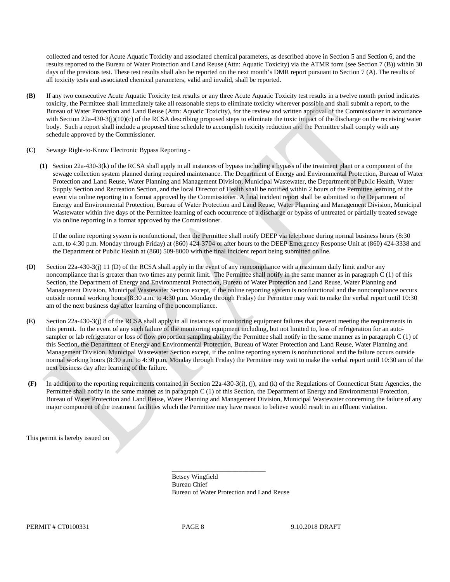collected and tested for Acute Aquatic Toxicity and associated chemical parameters, as described above in Section 5 and Section 6, and the results reported to the Bureau of Water Protection and Land Reuse (Attn: Aquatic Toxicity) via the ATMR form (see Section 7 (B)) within 30 days of the previous test. These test results shall also be reported on the next month's DMR report pursuant to Section 7 (A). The results of all toxicity tests and associated chemical parameters, valid and invalid, shall be reported.

- **(B)** If any two consecutive Acute Aquatic Toxicity test results or any three Acute Aquatic Toxicity test results in a twelve month period indicates toxicity, the Permittee shall immediately take all reasonable steps to eliminate toxicity wherever possible and shall submit a report, to the Bureau of Water Protection and Land Reuse (Attn: Aquatic Toxicity), for the review and written approval of the Commissioner in accordance with Section 22a-430-3(j)(10)(c) of the RCSA describing proposed steps to eliminate the toxic impact of the discharge on the receiving water body. Such a report shall include a proposed time schedule to accomplish toxicity reduction and the Permittee shall comply with any schedule approved by the Commissioner.
- **(C)** Sewage Right-to-Know Electronic Bypass Reporting
	- **(1)** Section 22a-430-3(k) of the RCSA shall apply in all instances of bypass including a bypass of the treatment plant or a component of the sewage collection system planned during required maintenance. The Department of Energy and Environmental Protection, Bureau of Water Protection and Land Reuse, Water Planning and Management Division, Municipal Wastewater, the Department of Public Health, Water Supply Section and Recreation Section, and the local Director of Health shall be notified within 2 hours of the Permittee learning of the event via online reporting in a format approved by the Commissioner. A final incident report shall be submitted to the Department of Energy and Environmental Protection, Bureau of Water Protection and Land Reuse, Water Planning and Management Division, Municipal Wastewater within five days of the Permittee learning of each occurrence of a discharge or bypass of untreated or partially treated sewage via online reporting in a format approved by the Commissioner.

If the online reporting system is nonfunctional, then the Permittee shall notify DEEP via telephone during normal business hours (8:30 a.m. to 4:30 p.m. Monday through Friday) at (860) 424-3704 or after hours to the DEEP Emergency Response Unit at (860) 424-3338 and the Department of Public Health at (860) 509-8000 with the final incident report being submitted online.

- **(D)** Section 22a-430-3(j) 11 (D) of the RCSA shall apply in the event of any noncompliance with a maximum daily limit and/or any noncompliance that is greater than two times any permit limit. The Permittee shall notify in the same manner as in paragraph C (1) of this Section, the Department of Energy and Environmental Protection, Bureau of Water Protection and Land Reuse, Water Planning and Management Division, Municipal Wastewater Section except, if the online reporting system is nonfunctional and the noncompliance occurs outside normal working hours (8:30 a.m. to 4:30 p.m. Monday through Friday) the Permittee may wait to make the verbal report until 10:30 am of the next business day after learning of the noncompliance.
- **(E)** Section 22a-430-3(j) 8 of the RCSA shall apply in all instances of monitoring equipment failures that prevent meeting the requirements in this permit. In the event of any such failure of the monitoring equipment including, but not limited to, loss of refrigeration for an autosampler or lab refrigerator or loss of flow proportion sampling ability, the Permittee shall notify in the same manner as in paragraph C (1) of this Section, the Department of Energy and Environmental Protection, Bureau of Water Protection and Land Reuse, Water Planning and Management Division, Municipal Wastewater Section except, if the online reporting system is nonfunctional and the failure occurs outside normal working hours (8:30 a.m. to 4:30 p.m. Monday through Friday) the Permittee may wait to make the verbal report until 10:30 am of the next business day after learning of the failure.
- **(F)** In addition to the reporting requirements contained in Section 22a-430-3(i), (j), and (k) of the Regulations of Connecticut State Agencies, the Permittee shall notify in the same manner as in paragraph C (1) of this Section, the Department of Energy and Environmental Protection, Bureau of Water Protection and Land Reuse, Water Planning and Management Division, Municipal Wastewater concerning the failure of any major component of the treatment facilities which the Permittee may have reason to believe would result in an effluent violation.

This permit is hereby issued on

\_\_\_\_\_\_\_\_\_\_\_\_\_\_\_\_\_\_\_\_\_\_\_\_\_\_\_\_ Betsey Wingfield Bureau Chief Bureau of Water Protection and Land Reuse

PERMIT # CT0100331 PAGE 8 9.10.2018 DRAFT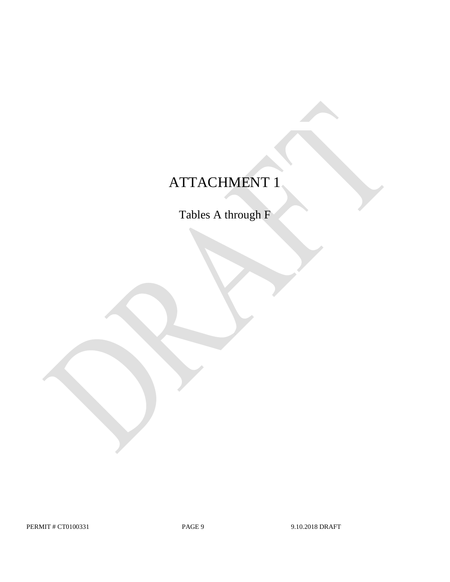## ATTACHMENT 1

Tables A through F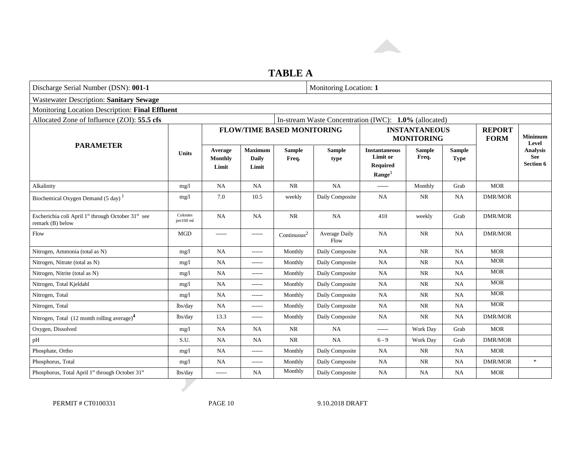

## **TABLE A**

| Discharge Serial Number (DSN): 001-1                                                            | Monitoring Location: 1 |                             |                                  |                                   |                                                       |                                                                           |                        |                              |                              |                                            |
|-------------------------------------------------------------------------------------------------|------------------------|-----------------------------|----------------------------------|-----------------------------------|-------------------------------------------------------|---------------------------------------------------------------------------|------------------------|------------------------------|------------------------------|--------------------------------------------|
| <b>Wastewater Description: Sanitary Sewage</b>                                                  |                        |                             |                                  |                                   |                                                       |                                                                           |                        |                              |                              |                                            |
| Monitoring Location Description: Final Effluent                                                 |                        |                             |                                  |                                   |                                                       |                                                                           |                        |                              |                              |                                            |
| Allocated Zone of Influence (ZOI): 55.5 cfs                                                     |                        |                             |                                  |                                   | In-stream Waste Concentration (IWC): 1.0% (allocated) |                                                                           |                        |                              |                              |                                            |
|                                                                                                 |                        |                             |                                  | <b>FLOW/TIME BASED MONITORING</b> |                                                       | <b>INSTANTANEOUS</b><br><b>MONITORING</b>                                 |                        |                              | <b>REPORT</b><br><b>FORM</b> | Minimum<br>Level                           |
| <b>PARAMETER</b>                                                                                | <b>Units</b>           | Average<br>Monthly<br>Limit | Maximum<br><b>Daily</b><br>Limit | <b>Sample</b><br>Freq.            | <b>Sample</b><br>type                                 | <b>Instantaneous</b><br>Limit or<br><b>Required</b><br>$\textbf{Range}^3$ | <b>Sample</b><br>Freq. | <b>Sample</b><br><b>Type</b> |                              | <b>Analysis</b><br>See<br><b>Section 6</b> |
| Alkalinity                                                                                      | mg/l                   | <b>NA</b>                   | <b>NA</b>                        | <b>NR</b>                         | NA                                                    | ------                                                                    | Monthly                | Grab                         | <b>MOR</b>                   |                                            |
| Biochemical Oxygen Demand $(5 \text{ day})$ <sup>1</sup>                                        | mg/1                   | 7.0                         | 10.5                             | weekly                            | Daily Composite                                       | <b>NA</b>                                                                 | <b>NR</b>              | NA                           | <b>DMR/MOR</b>               |                                            |
| Escherichia coli April 1 <sup>st</sup> through October 31 <sup>st</sup> see<br>remark (B) below | Colonies<br>per100 ml  | <b>NA</b>                   | <b>NA</b>                        | <b>NR</b>                         | <b>NA</b>                                             | 410                                                                       | weekly                 | Grab                         | <b>DMR/MOR</b>               |                                            |
| Flow                                                                                            | <b>MGD</b>             | ------                      | ------                           | Continuous <sup>2</sup>           | <b>Average Daily</b><br>Flow                          | <b>NA</b>                                                                 | <b>NR</b>              | <b>NA</b>                    | <b>DMR/MOR</b>               |                                            |
| Nitrogen, Ammonia (total as N)                                                                  | mg/l                   | <b>NA</b>                   | $- - - - - -$                    | Monthly                           | Daily Composite                                       | <b>NA</b>                                                                 | $\rm NR$               | NA                           | <b>MOR</b>                   |                                            |
| Nitrogen, Nitrate (total as N)                                                                  | mg/l                   | NA                          | ------                           | Monthly                           | Daily Composite                                       | <b>NA</b>                                                                 | $\rm NR$               | <b>NA</b>                    | <b>MOR</b>                   |                                            |
| Nitrogen, Nitrite (total as N)                                                                  | mg/1                   | NA                          | ------                           | Monthly                           | Daily Composite                                       | <b>NA</b>                                                                 | <b>NR</b>              | NA                           | <b>MOR</b>                   |                                            |
| Nitrogen, Total Kjeldahl                                                                        | mg/l                   | <b>NA</b>                   | $- - - - - -$                    | Monthly                           | Daily Composite                                       | <b>NA</b>                                                                 | <b>NR</b>              | NA                           | <b>MOR</b>                   |                                            |
| Nitrogen, Total                                                                                 | mg/l                   | <b>NA</b>                   | ------                           | Monthly                           | Daily Composite                                       | <b>NA</b>                                                                 | <b>NR</b>              | NA                           | <b>MOR</b>                   |                                            |
| Nitrogen, Total                                                                                 | lbs/day                | NA                          | $- - - - - -$                    | Monthly                           | Daily Composite                                       | <b>NA</b>                                                                 | <b>NR</b>              | NA                           | <b>MOR</b>                   |                                            |
| Nitrogen, Total $(12 \text{ month rolling average})^4$                                          | lbs/day                | 13.3                        | $- - - - - -$                    | Monthly                           | Daily Composite                                       | <b>NA</b>                                                                 | <b>NR</b>              | NA                           | <b>DMR/MOR</b>               |                                            |
| Oxygen, Dissolved                                                                               | mg/1                   | NA                          | NA                               | <b>NR</b>                         | NA                                                    | ------                                                                    | Work Day               | Grab                         | <b>MOR</b>                   |                                            |
| pH                                                                                              | S.U.                   | NA                          | <b>NA</b>                        | <b>NR</b>                         | NA                                                    | $6 - 9$                                                                   | Work Day               | Grab                         | <b>DMR/MOR</b>               |                                            |
| Phosphate, Ortho                                                                                | mg/l                   | NA                          | ------                           | Monthly                           | Daily Composite                                       | <b>NA</b>                                                                 | <b>NR</b>              | NA                           | <b>MOR</b>                   |                                            |
| Phosphorus, Total                                                                               | mg/l                   | NA                          | ------                           | Monthly                           | Daily Composite                                       | <b>NA</b>                                                                 | <b>NR</b>              | <b>NA</b>                    | <b>DMR/MOR</b>               | $\ast$                                     |
| Phosphorus, Total April 1 <sup>st</sup> through October 31 <sup>st</sup>                        | lbs/day                | ------                      | <b>NA</b>                        | Monthly                           | Daily Composite                                       | <b>NA</b>                                                                 | NA                     | NA                           | <b>MOR</b>                   |                                            |

PERMIT # CT0100331 PAGE 10 9.10.2018 DRAFT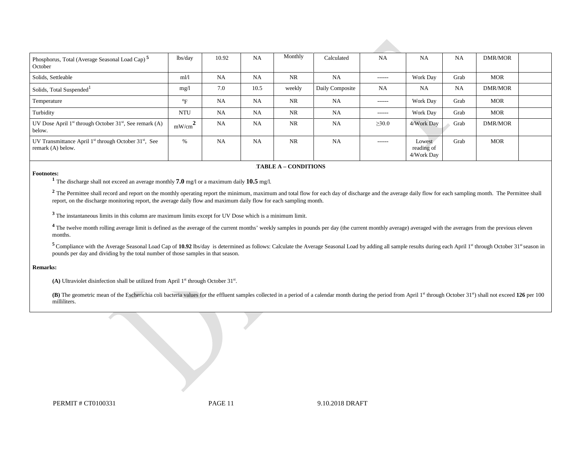| Phosphorus, Total (Average Seasonal Load Cap) <sup>5</sup><br>October                              | lbs/day                       | 10.92     | <b>NA</b> | Monthly   | Calculated      | <b>NA</b>     | NA                                 | NA        | DMR/MOR        |  |
|----------------------------------------------------------------------------------------------------|-------------------------------|-----------|-----------|-----------|-----------------|---------------|------------------------------------|-----------|----------------|--|
| Solids, Settleable                                                                                 | $m$ <sup><math>l</math></sup> | <b>NA</b> | <b>NA</b> | NR        | <b>NA</b>       | $- - - - - -$ | Work Day                           | Grab      | <b>MOR</b>     |  |
| Solids, Total Suspended <sup>1</sup>                                                               | mg/1                          | 7.0       | 10.5      | weekly    | Daily Composite | NA            | NA                                 | <b>NA</b> | DMR/MOR        |  |
| Temperature                                                                                        | $\mathrm{P}_{\mathrm{F}}$     | <b>NA</b> | <b>NA</b> | <b>NR</b> | <b>NA</b>       | -------       | Work Day                           | Grab      | <b>MOR</b>     |  |
| Turbidity                                                                                          | <b>NTU</b>                    | <b>NA</b> | <b>NA</b> | <b>NR</b> | <b>NA</b>       | $- - - - - -$ | Work Day                           | Grab      | <b>MOR</b>     |  |
| UV Dose April $1st$ through October $31st$ , See remark (A)<br>below.                              | $mW/cm^2$                     | <b>NA</b> | <b>NA</b> | <b>NR</b> | <b>NA</b>       | $\geq 30.0$   | 4/Work Dav                         | Grab      | <b>DMR/MOR</b> |  |
| UV Transmittance April 1 <sup>st</sup> through October 31 <sup>st</sup> , See<br>remark (A) below. | $\%$                          | <b>NA</b> | <b>NA</b> | <b>NR</b> | <b>NA</b>       | $- - - - - -$ | Lowest<br>reading of<br>4/Work Day | Grab      | <b>MOR</b>     |  |

#### 6B**TABLE A – CONDITIONS**

**Footnotes: 1** The discharge shall not exceed an average monthly **7.0** mg/l or a maximum daily **10.5** mg/l.

<sup>2</sup> The Permittee shall record and report on the monthly operating report the minimum, maximum and total flow for each day of discharge and the average daily flow for each sampling month. The Permittee shall report, on the discharge monitoring report, the average daily flow and maximum daily flow for each sampling month.

**<sup>3</sup>**The instantaneous limits in this column are maximum limits except for UV Dose which is a minimum limit.

<sup>4</sup> The twelve month rolling average limit is defined as the average of the current months' weekly samples in pounds per day (the current monthly average) averaged with the averages from the previous eleven months.

 pounds per day and dividing by the total number of those samples in that season. <sup>5</sup> Compliance with the Average Seasonal Load Cap of 10.92 lbs/day is determined as follows: Calculate the Average Seasonal Load by adding all sample results during each April 1st through October 31st season in

#### **Remarks:**

(A) Ultraviolet disinfection shall be utilized from April  $1<sup>st</sup>$  through October  $31<sup>st</sup>$ .

(B) The geometric mean of the Escherichia coli bacteria values for the effluent samples collected in a period of a calendar month during the period from April 1st through October 31st) shall not exceed 126 per 100 milliliters.

PERMIT # CT0100331 **PAGE 11** 9.10.2018 DRAFT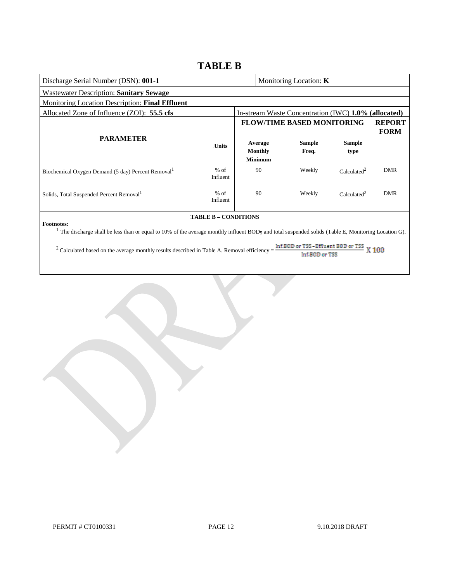## **TABLE B**

| Discharge Serial Number (DSN): 001-1                                                                                                                                                                   |                    |  |                                             | Monitoring Location: $K$                             |                         |                              |
|--------------------------------------------------------------------------------------------------------------------------------------------------------------------------------------------------------|--------------------|--|---------------------------------------------|------------------------------------------------------|-------------------------|------------------------------|
| Wastewater Description: Sanitary Sewage                                                                                                                                                                |                    |  |                                             |                                                      |                         |                              |
| Monitoring Location Description: Final Effluent                                                                                                                                                        |                    |  |                                             |                                                      |                         |                              |
| Allocated Zone of Influence (ZOI): 55.5 cfs                                                                                                                                                            |                    |  |                                             | In-stream Waste Concentration (IWC) 1.0% (allocated) |                         |                              |
|                                                                                                                                                                                                        |                    |  |                                             | <b>FLOW/TIME BASED MONITORING</b>                    |                         | <b>REPORT</b><br><b>FORM</b> |
| <b>PARAMETER</b>                                                                                                                                                                                       | <b>Units</b>       |  | Average<br><b>Monthly</b><br><b>Minimum</b> | <b>Sample</b><br>Freq.                               | <b>Sample</b><br>type   |                              |
| Biochemical Oxygen Demand (5 day) Percent Removal <sup>1</sup>                                                                                                                                         | $%$ of<br>Influent |  | 90                                          | Weekly                                               | Calculated <sup>2</sup> | <b>DMR</b>                   |
| Solids, Total Suspended Percent Removal <sup>1</sup>                                                                                                                                                   | $%$ of<br>Influent |  | 90                                          | Weekly                                               | Calculated <sup>2</sup> | <b>DMR</b>                   |
| <b>TABLE B - CONDITIONS</b><br><b>Footnotes:</b><br>The discharge shall be less than or equal to 10% of the average monthly influent BOD5 and total suspended solids (Table E, Monitoring Location G). |                    |  |                                             |                                                      |                         |                              |

<sup>2</sup> Calculated based on the average monthly results described in Table A. Removal efficiency =  $\frac{\ln f.B0D \text{ or TSS}}{\ln f.B0D \text{ or NSE}}$  X 100 Inf.B0D or TSS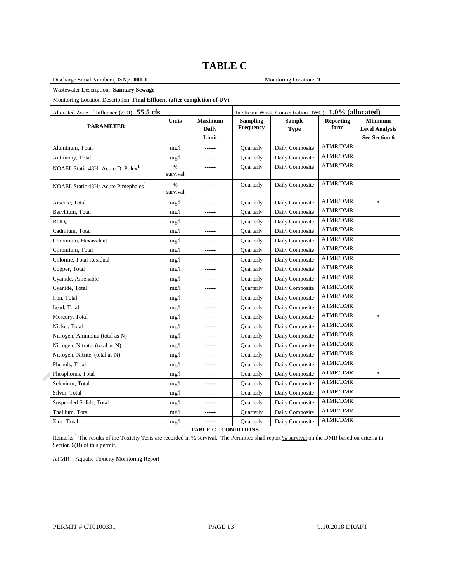| Discharge Serial Number (DSN): 001-1                                     |                                                       | Monitoring Location: T                  |                              |                              |                          |                                                          |
|--------------------------------------------------------------------------|-------------------------------------------------------|-----------------------------------------|------------------------------|------------------------------|--------------------------|----------------------------------------------------------|
| Wastewater Description: Sanitary Sewage                                  |                                                       |                                         |                              |                              |                          |                                                          |
| Monitoring Location Description: Final Effluent (after completion of UV) |                                                       |                                         |                              |                              |                          |                                                          |
| Allocated Zone of Influence (ZOI): 55.5 cfs                              | In-stream Waste Concentration (IWC): 1.0% (allocated) |                                         |                              |                              |                          |                                                          |
| <b>PARAMETER</b>                                                         | Units                                                 | <b>Maximum</b><br><b>Daily</b><br>Limit | <b>Sampling</b><br>Frequency | <b>Sample</b><br><b>Type</b> | <b>Reporting</b><br>form | <b>Minimum</b><br><b>Level Analysis</b><br>See Section 6 |
| Aluminum, Total                                                          | mg/1                                                  | ------                                  | Quarterly                    | Daily Composite              | <b>ATMR/DMR</b>          |                                                          |
| Antimony, Total                                                          | mg/1                                                  | ------                                  | Quarterly                    | Daily Composite              | <b>ATMR/DMR</b>          |                                                          |
| NOAEL Static 48Hr Acute D. Pulex <sup>1</sup>                            | %<br>survival                                         | ------                                  | Quarterly                    | Daily Composite              | <b>ATMR/DMR</b>          |                                                          |
| NOAEL Static 48Hr Acute Pimephales <sup>1</sup>                          | %<br>survival                                         |                                         | Quarterly                    | Daily Composite              | <b>ATMR/DMR</b>          |                                                          |
| Arsenic, Total                                                           | mg/1                                                  |                                         | Quarterly                    | Daily Composite              | <b>ATMR/DMR</b>          | $\ast$                                                   |
| Beryllium, Total                                                         | mg/1                                                  |                                         | Quarterly                    | Daily Composite              | <b>ATMR/DMR</b>          |                                                          |
| BOD <sub>5</sub>                                                         | mg/1                                                  | ------                                  | Quarterly                    | Daily Composite              | <b>ATMR/DMR</b>          |                                                          |
| Cadmium, Total                                                           | mg/1                                                  |                                         | Quarterly                    | Daily Composite              | <b>ATMR/DMR</b>          |                                                          |
| Chromium, Hexavalent                                                     | mg/1                                                  |                                         | Quarterly                    | Daily Composite              | <b>ATMR/DMR</b>          |                                                          |
| Chromium, Total                                                          | mg/1                                                  |                                         | Quarterly                    | Daily Composite              | <b>ATMR/DMR</b>          |                                                          |
| Chlorine, Total Residual                                                 | mg/1                                                  | ------                                  | Quarterly                    | Daily Composite              | <b>ATMR/DMR</b>          |                                                          |
| Copper, Total                                                            | mg/1                                                  |                                         | Quarterly                    | Daily Composite              | <b>ATMR/DMR</b>          |                                                          |
| Cyanide, Amenable                                                        | mg/1                                                  | ------                                  | Quarterly                    | Daily Composite              | <b>ATMR/DMR</b>          |                                                          |
| Cyanide, Total                                                           | mg/1                                                  |                                         | <b>Quarterly</b>             | Daily Composite              | <b>ATMR/DMR</b>          |                                                          |
| Iron, Total                                                              | mg/1                                                  | ------                                  | Quarterly                    | Daily Composite              | <b>ATMR/DMR</b>          |                                                          |
| Lead, Total                                                              | mg/1                                                  | ------                                  | <b>Quarterly</b>             | Daily Composite              | <b>ATMR/DMR</b>          |                                                          |
| Mercury, Total                                                           | mg/1                                                  | ------                                  | Quarterly                    | Daily Composite              | <b>ATMR/DMR</b>          | $\ast$                                                   |
| Nickel, Total                                                            | mg/1                                                  | ------                                  | <b>Quarterly</b>             | Daily Composite              | <b>ATMR/DMR</b>          |                                                          |
| Nitrogen, Ammonia (total as N)                                           | mg/1                                                  | ------                                  | Quarterly                    | Daily Composite              | <b>ATMR/DMR</b>          |                                                          |
| Nitrogen, Nitrate, (total as N)                                          | mg/1                                                  | ------                                  | Quarterly                    | Daily Composite              | <b>ATMR/DMR</b>          |                                                          |
| Nitrogen, Nitrite, (total as N)                                          | mg/1                                                  | ------                                  | Quarterly                    | Daily Composite              | <b>ATMR/DMR</b>          |                                                          |
| Phenols, Total                                                           | mg/1                                                  | $1 - 1 - 1 = 1$                         | Quarterly                    | Daily Composite              | ATMR/DMR                 |                                                          |
| Phosphorus, Total                                                        | mg/1                                                  | ------                                  | Quarterly                    | Daily Composite              | <b>ATMR/DMR</b>          | $\ast$                                                   |
| Selenium, Total                                                          | mg/1                                                  | ------                                  | Quarterly                    | Daily Composite              | <b>ATMR/DMR</b>          |                                                          |
| Silver, Total                                                            | mg/1                                                  | ------                                  | Quarterly                    | Daily Composite              | <b>ATMR/DMR</b>          |                                                          |
| Suspended Solids, Total                                                  | mg/1                                                  | ------                                  | Quarterly                    | Daily Composite              | ATMR/DMR                 |                                                          |
| Thallium, Total                                                          | mg/1                                                  | ------                                  | Quarterly                    | Daily Composite              | <b>ATMR/DMR</b>          |                                                          |
| Zinc, Total                                                              | mg/l                                                  |                                         | Quarterly                    | Daily Composite              | <b>ATMR/DMR</b>          |                                                          |

## **TABLE C**

**TABLE C - CONDITIONS** 

Remarks:<sup>1</sup> The results of the Toxicity Tests are recorded in % survival. The Permittee shall report % survival on the DMR based on criteria in Section 6(B) of this permit.

ATMR – Aquatic Toxicity Monitoring Report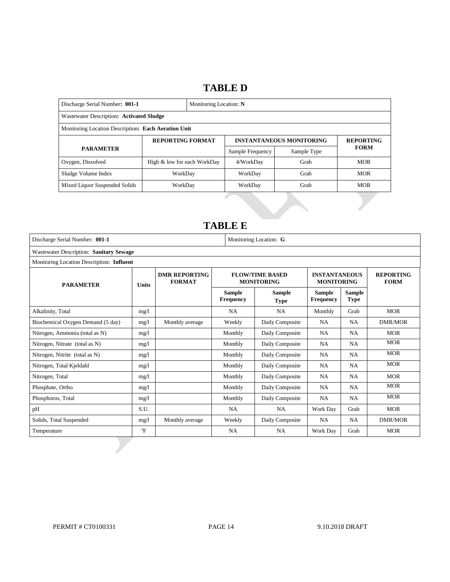## 14B**TABLE D**

| Discharge Serial Number: 001-1                      |                             |  | Monitoring Location: N |                                 |                  |  |  |
|-----------------------------------------------------|-----------------------------|--|------------------------|---------------------------------|------------------|--|--|
| Wastewater Description: Activated Sludge            |                             |  |                        |                                 |                  |  |  |
| Monitoring Location Description: Each Aeration Unit |                             |  |                        |                                 |                  |  |  |
|                                                     | <b>REPORTING FORMAT</b>     |  |                        | <b>INSTANTANEOUS MONITORING</b> | <b>REPORTING</b> |  |  |
| <b>PARAMETER</b>                                    |                             |  | Sample Frequency       | Sample Type                     | <b>FORM</b>      |  |  |
| Oxygen, Dissolved                                   | High & low for each WorkDay |  | 4/WorkDay              | Grab                            | <b>MOR</b>       |  |  |
| Sludge Volume Index                                 | WorkDay                     |  | WorkDay<br>Grab        |                                 | <b>MOR</b>       |  |  |
| Mixed Liquor Suspended Solids                       | WorkDay                     |  | WorkDay                | Grab                            | <b>MOR</b>       |  |  |

## 15B**TABLE E**

 $\mathbf{L}$ 

| Discharge Serial Number: 001-1            |              |                                       |                            | Monitoring Location: G                      |                                           |                              |                                 |  |
|-------------------------------------------|--------------|---------------------------------------|----------------------------|---------------------------------------------|-------------------------------------------|------------------------------|---------------------------------|--|
| Wastewater Description: Sanitary Sewage   |              |                                       |                            |                                             |                                           |                              |                                 |  |
| Monitoring Location Description: Influent |              |                                       |                            |                                             |                                           |                              |                                 |  |
| <b>PARAMETER</b>                          |              | <b>DMR REPORTING</b><br><b>FORMAT</b> |                            | <b>FLOW/TIME BASED</b><br><b>MONITORING</b> | <b>INSTANTANEOUS</b><br><b>MONITORING</b> |                              | <b>REPORTING</b><br><b>FORM</b> |  |
|                                           | <b>Units</b> |                                       | <b>Sample</b><br>Frequency | Sample<br><b>Type</b>                       | <b>Sample</b><br><b>Frequency</b>         | <b>Sample</b><br><b>Type</b> |                                 |  |
| Alkalinity, Total                         | mg/1         |                                       | <b>NA</b>                  | <b>NA</b>                                   | Monthly                                   | Grab                         | <b>MOR</b>                      |  |
| Biochemical Oxygen Demand (5 day)         | mg/1         | Monthly average                       | Weekly                     | Daily Composite                             | <b>NA</b>                                 | <b>NA</b>                    | <b>DMR/MOR</b>                  |  |
| Nitrogen, Ammonia (total as N)            | mg/l         |                                       | Monthly                    | Daily Composite                             | <b>NA</b>                                 | <b>NA</b>                    | <b>MOR</b>                      |  |
| Nitrogen, Nitrate (total as N)            | mg/l         |                                       | Monthly                    | Daily Composite                             | <b>NA</b>                                 | <b>NA</b>                    | <b>MOR</b>                      |  |
| Nitrogen, Nitrite (total as N)            | mg/l         |                                       | Monthly                    | Daily Composite                             | <b>NA</b>                                 | <b>NA</b>                    | <b>MOR</b>                      |  |
| Nitrogen, Total Kjeldahl                  | mg/l         |                                       | Monthly                    | Daily Composite                             | <b>NA</b>                                 | <b>NA</b>                    | <b>MOR</b>                      |  |
| Nitrogen, Total                           | mg/l         |                                       | Monthly                    | Daily Composite                             | <b>NA</b>                                 | <b>NA</b>                    | <b>MOR</b>                      |  |
| Phosphate, Ortho                          | mg/1         |                                       | Monthly                    | Daily Composite                             | <b>NA</b>                                 | <b>NA</b>                    | <b>MOR</b>                      |  |
| Phosphorus, Total                         | mg/l         |                                       | Monthly                    | Daily Composite                             | <b>NA</b>                                 | <b>NA</b>                    | <b>MOR</b>                      |  |
| pH                                        | S.U.         |                                       | NA                         | <b>NA</b>                                   | Work Day                                  | Grab                         | <b>MOR</b>                      |  |
| Solids, Total Suspended                   | mg/1         | Monthly average                       | Weekly                     | Daily Composite                             | <b>NA</b>                                 | <b>NA</b>                    | <b>DMR/MOR</b>                  |  |
| Temperature                               | $\mathrm{P}$ |                                       | <b>NA</b>                  | NA                                          | Work Day                                  | Grab                         | <b>MOR</b>                      |  |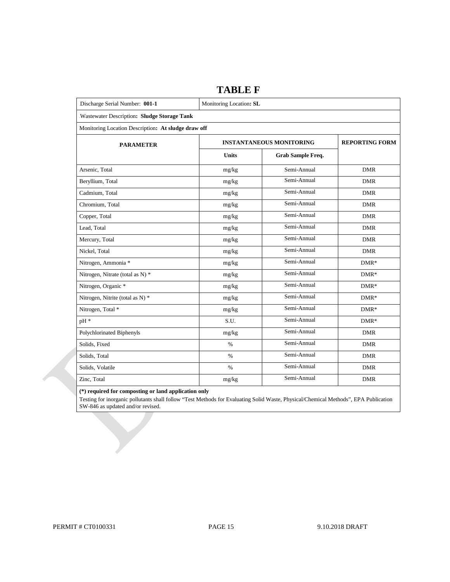| Discharge Serial Number: 001-1                      | Monitoring Location: SL |                                 |                       |  |  |
|-----------------------------------------------------|-------------------------|---------------------------------|-----------------------|--|--|
| Wastewater Description: Sludge Storage Tank         |                         |                                 |                       |  |  |
| Monitoring Location Description: At sludge draw off |                         |                                 |                       |  |  |
| <b>PARAMETER</b>                                    |                         | <b>INSTANTANEOUS MONITORING</b> | <b>REPORTING FORM</b> |  |  |
|                                                     | <b>Units</b>            | Grab Sample Freq.               |                       |  |  |
| Arsenic, Total                                      | mg/kg                   | Semi-Annual                     | <b>DMR</b>            |  |  |
| Beryllium, Total                                    | mg/kg                   | Semi-Annual                     | <b>DMR</b>            |  |  |
| Cadmium, Total                                      | mg/kg                   | Semi-Annual                     | DMR                   |  |  |
| Chromium, Total                                     | mg/kg                   | Semi-Annual                     | <b>DMR</b>            |  |  |
| Copper, Total                                       | mg/kg                   | Semi-Annual                     | <b>DMR</b>            |  |  |
| Lead, Total                                         | mg/kg                   | Semi-Annual                     | <b>DMR</b>            |  |  |
| Mercury, Total                                      | mg/kg                   | Semi-Annual                     | <b>DMR</b>            |  |  |
| Nickel, Total                                       | mg/kg                   | Semi-Annual                     | <b>DMR</b>            |  |  |
| Nitrogen, Ammonia *                                 | mg/kg                   | Semi-Annual                     | $DMR*$                |  |  |
| Nitrogen, Nitrate (total as N) *                    | mg/kg                   | Semi-Annual                     | $DMR*$                |  |  |
| Nitrogen, Organic *                                 | mg/kg                   | Semi-Annual                     | $DMR*$                |  |  |
| Nitrogen, Nitrite (total as N) *                    | mg/kg                   | Semi-Annual                     | $DMR*$                |  |  |
| Nitrogen, Total *                                   | mg/kg                   | Semi-Annual                     | $DMR*$                |  |  |
| pH *                                                | S.U.                    | Semi-Annual                     | $DMR*$                |  |  |
| Polychlorinated Biphenyls                           | mg/kg                   | Semi-Annual                     | <b>DMR</b>            |  |  |
| Solids, Fixed                                       | $\%$                    | Semi-Annual                     | <b>DMR</b>            |  |  |
| Solids, Total                                       | $\%$                    | Semi-Annual                     | <b>DMR</b>            |  |  |
| Solids, Volatile                                    | $\%$                    | Semi-Annual                     | <b>DMR</b>            |  |  |
| Zinc. Total                                         | mg/kg                   | Semi-Annual                     | <b>DMR</b>            |  |  |

### **TABLE F**

 **(\*) required for composting or land application only** 

 Testing for inorganic pollutants shall follow "Test Methods for Evaluating Solid Waste, Physical/Chemical Methods", EPA Publication SW-846 as updated and/or revised.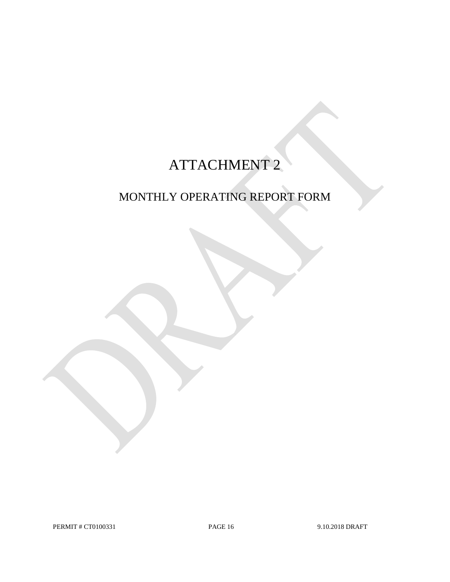# ATTACHMENT 2

## MONTHLY OPERATING REPORT FORM

PERMIT # CT0100331 PAGE 16 9.10.2018 DRAFT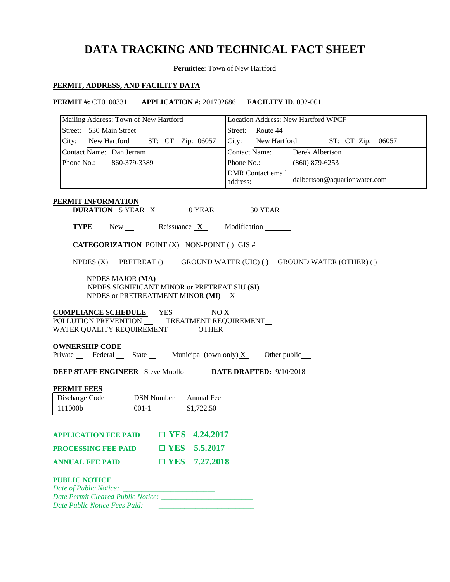## **DATA TRACKING AND TECHNICAL FACT SHEET**

**Permittee**: Town of New Hartford

### **PERMIT, ADDRESS, AND FACILITY DATA**

**PERMIT #:** CT0100331 **APPLICATION #:** 201702686 **FACILITY ID.** 092-001

| Mailing Address: Town of New Hartford                                                                                                  | Location Address: New Hartford WPCF |                                      |                  |                              |  |  |  |
|----------------------------------------------------------------------------------------------------------------------------------------|-------------------------------------|--------------------------------------|------------------|------------------------------|--|--|--|
| Street: 530 Main Street                                                                                                                |                                     | Street: Route 44                     |                  |                              |  |  |  |
| City: New Hartford ST: CT Zip: 06057                                                                                                   |                                     | City: New Hartford ST: CT Zip: 06057 |                  |                              |  |  |  |
| Contact Name: Dan Jerram                                                                                                               |                                     | Contact Name: Derek Albertson        |                  |                              |  |  |  |
| Phone No.: 860-379-3389                                                                                                                |                                     | Phone No.:                           | $(860)$ 879-6253 |                              |  |  |  |
|                                                                                                                                        |                                     | <b>DMR</b> Contact email<br>address: |                  | dalbertson@aquarionwater.com |  |  |  |
| PERMIT INFORMATION<br><b>DURATION</b> 5 YEAR $X$ 10 YEAR $\_\$ 30 YEAR                                                                 |                                     |                                      |                  |                              |  |  |  |
| <b>TYPE</b><br>$New$ Reissuance $X$ Modification                                                                                       |                                     |                                      |                  |                              |  |  |  |
| <b>CATEGORIZATION POINT (X) NON-POINT () GIS #</b>                                                                                     |                                     |                                      |                  |                              |  |  |  |
| NPDES (X) PRETREAT () GROUND WATER (UIC) () GROUND WATER (OTHER) ()                                                                    |                                     |                                      |                  |                              |  |  |  |
| NPDES MAJOR (MA)<br>NPDES SIGNIFICANT MINOR or PRETREAT SIU (SI)<br>NPDES or PRETREATMENT MINOR (MI) $X$                               |                                     |                                      |                  |                              |  |  |  |
|                                                                                                                                        |                                     |                                      |                  |                              |  |  |  |
| <b>COMPLIANCE SCHEDULE</b> YES__ NO X<br>POLLUTION PREVENTION TREATMENT REQUIREMENT<br>WATER QUALITY REQUIREMENT _________ OTHER _____ |                                     |                                      |                  |                              |  |  |  |
| <b>OWNERSHIP CODE</b>                                                                                                                  |                                     |                                      |                  |                              |  |  |  |
| Private Federal State Municipal (town only) $X$ Other public                                                                           |                                     |                                      |                  |                              |  |  |  |
| <b>DEEP STAFF ENGINEER</b> Steve Muollo <b>DATE DRAFTED:</b> 9/10/2018                                                                 |                                     |                                      |                  |                              |  |  |  |
| <b>PERMIT FEES</b>                                                                                                                     |                                     |                                      |                  |                              |  |  |  |
| <b>DSN</b> Number<br>Discharge Code                                                                                                    | Annual Fee                          |                                      |                  |                              |  |  |  |
| 111000b<br>$001-1$                                                                                                                     | \$1,722.50                          |                                      |                  |                              |  |  |  |
| APPLICATION FEE PAID $\Box$ YES 4.24.2017                                                                                              |                                     |                                      |                  |                              |  |  |  |
| <b>PROCESSING FEE PAID</b>                                                                                                             | $\Box$ YES 5.5.2017                 |                                      |                  |                              |  |  |  |
| $\square$ YES<br><b>ANNUAL FEE PAID</b>                                                                                                | 7.27.2018                           |                                      |                  |                              |  |  |  |
| <b>PUBLIC NOTICE</b>                                                                                                                   |                                     |                                      |                  |                              |  |  |  |
| Date of Public Notice:<br>Date Permit Cleared Public Notice:                                                                           |                                     |                                      |                  |                              |  |  |  |
| Date Public Notice Fees Paid:                                                                                                          |                                     |                                      |                  |                              |  |  |  |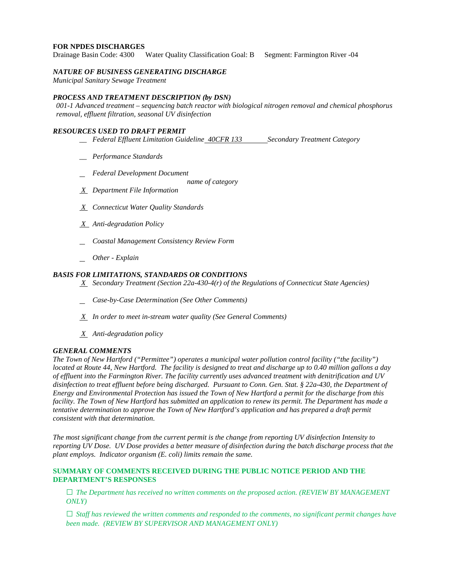### **FOR NPDES DISCHARGES**

Drainage Basin Code: 4300 Water Quality Classification Goal: B Segment: Farmington River -04

### *NATURE OF BUSINESS GENERATING DISCHARGE*

*Municipal Sanitary Sewage Treatment* 

### *PROCESS AND TREATMENT DESCRIPTION (by DSN)*

 *001-1 Advanced treatment – sequencing batch reactor with biological nitrogen removal and chemical phosphorus removal, effluent filtration, seasonal UV disinfection*

### *RESOURCES USED TO DRAFT PERMIT*

- *\_\_ Federal Effluent Limitation Guideline 40CFR 133 Secondary Treatment Category*
- *\_\_ Performance Standards*
- *Federal Development Document* 
	- *name of category*
- *X Department File Information*
- *X Connecticut Water Quality Standards*
- *X Anti-degradation Policy*
- *Coastal Management Consistency Review Form*
- *Other - Explain*

### *BASIS FOR LIMITATIONS, STANDARDS OR CONDITIONS*

- *X Secondary Treatment (Section 22a-430-4(r) of the Regulations of Connecticut State Agencies)* 
	- *Case-by-Case Determination (See Other Comments)*
- *X In order to meet in-stream water quality (See General Comments)*
- *X Anti-degradation policy*

### *GENERAL COMMENTS*

 *The Town of New Hartford ("Permittee") operates a municipal water pollution control facility ("the facility") Energy and Environmental Protection has issued the Town of New Hartford a permit for the discharge from this tentative determination to approve the Town of New Hartford's application and has prepared a draft permit consistent with that determination. located at Route 44, New Hartford. The facility is designed to treat and discharge up to 0.40 million gallons a day of effluent into the Farmington River. The facility currently uses advanced treatment with denitrification and UV disinfection to treat effluent before being discharged. Pursuant to Conn. Gen. Stat. § 22a-430, the Department of facility. The Town of New Hartford has submitted an application to renew its permit. The Department has made a* 

 *plant employs. Indicator organism (E. coli) limits remain the same.*  The most significant change from the current permit is the change from reporting UV disinfection Intensity to *reporting UV Dose. UV Dose provides a better measure of disinfection during the batch discharge process that the* 

### **SUMMARY OF COMMENTS RECEIVED DURING THE PUBLIC NOTICE PERIOD AND THE DEPARTMENT'S RESPONSES**

**□** *The Department has received no written comments on the proposed action. (REVIEW BY MANAGEMENT ONLY)*

**□** *Staff has reviewed the written comments and responded to the comments, no significant permit changes have been made. (REVIEW BY SUPERVISOR AND MANAGEMENT ONLY)*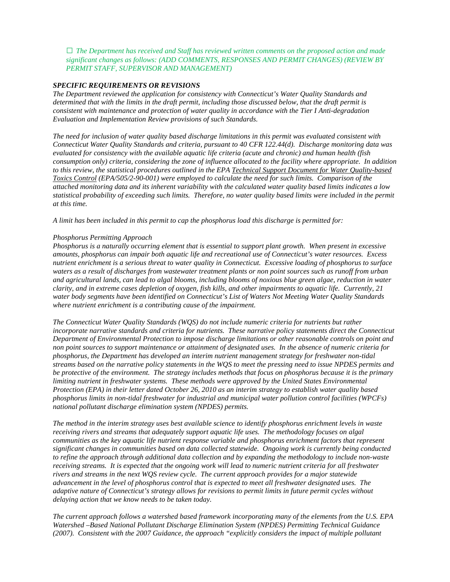**□** *The Department has received and Staff has reviewed written comments on the proposed action and made significant changes as follows: (ADD COMMENTS, RESPONSES AND PERMIT CHANGES) (REVIEW BY PERMIT STAFF, SUPERVISOR AND MANAGEMENT)* 

### *SPECIFIC REQUIREMENTS OR REVISIONS*

*The Department reviewed the application for consistency with Connecticut's Water Quality Standards and determined that with the limits in the draft permit, including those discussed below, that the draft permit is consistent with maintenance and protection of water quality in accordance with the Tier I Anti-degradation Evaluation and Implementation Review provisions of such Standards.* 

 *Connecticut Water Quality Standards and criteria, pursuant to 40 CFR 122.44(d). Discharge monitoring data was consumption only) criteria, considering the zone of influence allocated to the facility where appropriate. In addition to this review, the statistical procedures outlined in the EPA Technical Support Document for Water Quality-based statistical probability of exceeding such limits. Therefore, no water quality based limits were included in the permit at this time. The need for inclusion of water quality based discharge limitations in this permit was evaluated consistent with evaluated for consistency with the available aquatic life criteria (acute and chronic) and human health (fish Toxics Control (EPA/505/2-90-001) were employed to calculate the need for such limits. Comparison of the attached monitoring data and its inherent variability with the calculated water quality based limits indicates a low* 

*at this time. A limit has been included in this permit to cap the phosphorus load this discharge is permitted for:* 

### *Phosphorus Permitting Approach*

 *water body segments have been identified on Connecticut's List of Waters Not Meeting Water Quality Standards Phosphorus is a naturally occurring element that is essential to support plant growth. When present in excessive amounts, phosphorus can impair both aquatic life and recreational use of Connecticut's water resources. Excess nutrient enrichment is a serious threat to water quality in Connecticut. Excessive loading of phosphorus to surface waters as a result of discharges from wastewater treatment plants or non point sources such as runoff from urban and agricultural lands, can lead to algal blooms, including blooms of noxious blue green algae, reduction in water clarity, and in extreme cases depletion of oxygen, fish kills, and other impairments to aquatic life. Currently, 21 where nutrient enrichment is a contributing cause of the impairment.* 

 *phosphorus limits in non-tidal freshwater for industrial and municipal water pollution control facilities (WPCFs) national pollutant discharge elimination system (NPDES) permits. The Connecticut Water Quality Standards (WQS) do not include numeric criteria for nutrients but rather incorporate narrative standards and criteria for nutrients. These narrative policy statements direct the Connecticut Department of Environmental Protection to impose discharge limitations or other reasonable controls on point and non point sources to support maintenance or attainment of designated uses. In the absence of numeric criteria for phosphorus, the Department has developed an interim nutrient management strategy for freshwater non-tidal streams based on the narrative policy statements in the WQS to meet the pressing need to issue NPDES permits and be protective of the environment. The strategy includes methods that focus on phosphorus because it is the primary limiting nutrient in freshwater systems. These methods were approved by the United States Environmental Protection (EPA) in their letter dated October 26, 2010 as an interim strategy to establish water quality based* 

 *receiving streams. It is expected that the ongoing work will lead to numeric nutrient criteria for all freshwater The method in the interim strategy uses best available science to identify phosphorus enrichment levels in waste receiving rivers and streams that adequately support aquatic life uses. The methodology focuses on algal communities as the key aquatic life nutrient response variable and phosphorus enrichment factors that represent significant changes in communities based on data collected statewide. Ongoing work is currently being conducted to refine the approach through additional data collection and by expanding the methodology to include non-waste rivers and streams in the next WQS review cycle. The current approach provides for a major statewide advancement in the level of phosphorus control that is expected to meet all freshwater designated uses. The adaptive nature of Connecticut's strategy allows for revisions to permit limits in future permit cycles without delaying action that we know needs to be taken today.* 

*The current approach follows a watershed based framework incorporating many of the elements from the U.S. EPA Watershed –Based National Pollutant Discharge Elimination System (NPDES) Permitting Technical Guidance (2007). Consistent with the 2007 Guidance, the approach "explicitly considers the impact of multiple pollutant*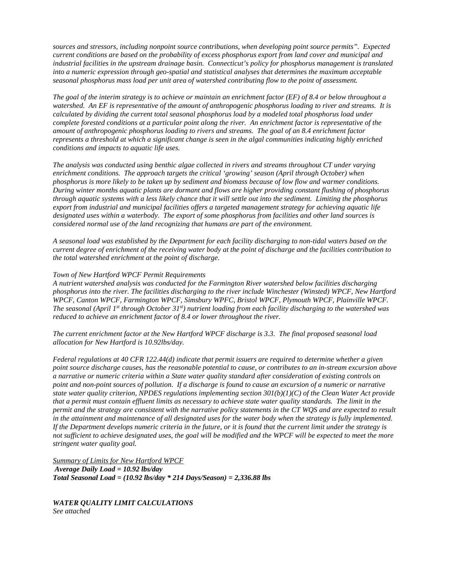*seasonal phosphorus mass load per unit area of watershed contributing flow to the point of assessment. sources and stressors, including nonpoint source contributions, when developing point source permits". Expected current conditions are based on the probability of excess phosphorus export from land cover and municipal and industrial facilities in the upstream drainage basin. Connecticut's policy for phosphorus management is translated into a numeric expression through geo-spatial and statistical analyses that determines the maximum acceptable* 

*conditions and impacts to aquatic life uses. The goal of the interim strategy is to achieve or maintain an enrichment factor (EF) of 8.4 or below throughout a watershed. An EF is representative of the amount of anthropogenic phosphorus loading to river and streams. It is calculated by dividing the current total seasonal phosphorus load by a modeled total phosphorus load under complete forested conditions at a particular point along the river. An enrichment factor is representative of the amount of anthropogenic phosphorus loading to rivers and streams. The goal of an 8.4 enrichment factor represents a threshold at which a significant change is seen in the algal communities indicating highly enriched* 

 *phosphorus is more likely to be taken up by sediment and biomass because of low flow and warmer conditions. considered normal use of the land recognizing that humans are part of the environment. conditions and impacts to aquatic life uses. The analysis was conducted using benthic algae collected in rivers and streams throughout CT under varying enrichment conditions. The approach targets the critical 'growing' season (April through October) when During winter months aquatic plants are dormant and flows are higher providing constant flushing of phosphorus through aquatic systems with a less likely chance that it will settle out into the sediment. Limiting the phosphorus export from industrial and municipal facilities offers a targeted management strategy for achieving aquatic life designated uses within a waterbody. The export of some phosphorus from facilities and other land sources is* 

 *current degree of enrichment of the receiving water body at the point of discharge and the facilities contribution to the total watershed enrichment at the point of discharge. A seasonal load was established by the Department for each facility discharging to non-tidal waters based on the* 

### *Town of New Hartford WPCF Permit Requirements*

*reduced to achieve an enrichment factor of 8.4 or lower throughout the river. A nutrient watershed analysis was conducted for the Farmington River watershed below facilities discharging phosphorus into the river. The facilities discharging to the river include Winchester (Winsted) WPCF, New Hartford WPCF, Canton WPCF, Farmington WPCF, Simsbury WPFC, Bristol WPCF, Plymouth WPCF, Plainville WPCF. The seasonal (April 1<sup>st</sup> through October 31<sup>st</sup>) nutrient loading from each facility discharging to the watershed was* 

reduced to achieve an enrichment factor of 8.4 or lower throughout the river.<br>The current enrichment factor at the New Hartford WPCF discharge is 3.3. The final proposed seasonal load allocation for New Hartford is 10.92lbs/day.

in the attainment and maintenance of all designated uses for the water body when the strategy is fully implemented.<br>If the Department develops numeric criteria in the future, or it is found that the current limit under the *stringent water quality goal. Federal regulations at 40 CFR 122.44(d) indicate that permit issuers are required to determine whether a given point source discharge causes, has the reasonable potential to cause, or contributes to an in-stream excursion above a narrative or numeric criteria within a State water quality standard after consideration of existing controls on point and non-point sources of pollution. If a discharge is found to cause an excursion of a numeric or narrative state water quality criterion, NPDES regulations implementing section 301(b)(1)(C) of the Clean Water Act provide that a permit must contain effluent limits as necessary to achieve state water quality standards. The limit in the permit and the strategy are consistent with the narrative policy statements in the CT WOS and are expected to result not sufficient to achieve designated uses, the goal will be modified and the WPCF will be expected to meet the more* 

*Average Daily Load = 10.92 lbs/day Average Daily Load = 10.92 lbs/day Total Seasonal Load = (10.92 lbs/day \* 214 Days/Season) = 2,336.88 lbs*  **Summary of Limits for New Hartford WPCF** 

*WATER QUALITY LIMIT CALCULATIONS See attached*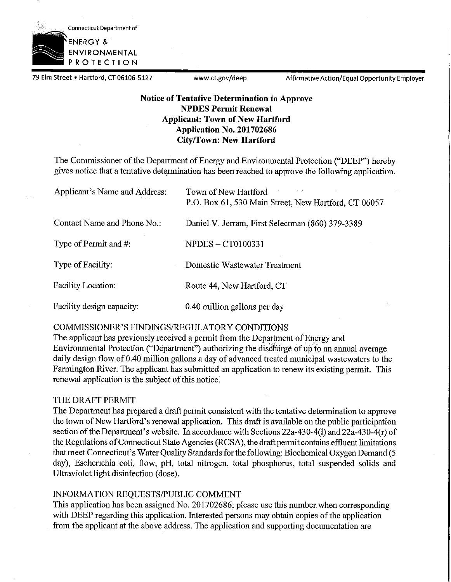

79 Elm Street • Hartford, CT 06106-5127 www.ct.gov/deep Affirmative Action/Equal Opportunity Employer

### **Notice of Tentative Determination to Approve NPDES Permit Renewal Applicant: Town of New Hartford Application No. 201702686 City/Town: New Hartford**

The Commissioner of the Department of Energy and Environmental Protection ("DEEP") hereby gives notice that a tentative determination has been reached to approve the following application.

| Applicant's Name and Address: | Town of New Hartford<br>P.O. Box 61, 530 Main Street, New Hartford, CT 06057 |
|-------------------------------|------------------------------------------------------------------------------|
| Contact Name and Phone No.:   | Daniel V. Jerram, First Selectman (860) 379-3389                             |
| Type of Permit and #:         | <b>NPDES – CT0100331</b>                                                     |
| Type of Facility:             | Domestic Wastewater Treatment                                                |
| <b>Facility Location:</b>     | Route 44, New Hartford, CT                                                   |
| Facility design capacity:     | 0.40 million gallons per day                                                 |

### COMMISSIONER'S FINDINGS/REGULATORY CONDITIONS

The applicant has previously received a permit from the Department of Energy and Environmental Protection ("Department") authorizing the discharge of up to an annual average daily design flow of 0.40 million gallons a day of advanced treated municipal wastewaters to the Farmington River. The applicant has submitted an application to renew its existing permit. This renewal application is the subject of this notice.

### THE DRAFT PERMIT

The Department has prepared a draft permit consistent with the tentative determination to approve the town of New Hartford's renewal application. This draft is available on the public participation section of the Department's website. In accordance with Sections  $22a-430-4(1)$  and  $22a-430-4(r)$  of the Regulations ofConnecticut State Agencies (RCSA), the draft permit contains effluent limitations that meet Connecticut's Water Quality Standards for the following: Biochemical Oxygen Demand (5 day), Escherichia coli, flow, pH, total nitrogen, total phosphorus, total suspended solids and Ultraviolet light disinfection (dose).

### INFORMATION REQUESTS/PUBLIC COMMENT

This application has been assigned No. 201702686; please use this number when corresponding with DEEP regarding this application. Interested persons may obtain copies of the application from the applicant at the above address. The application and supporting documentation are